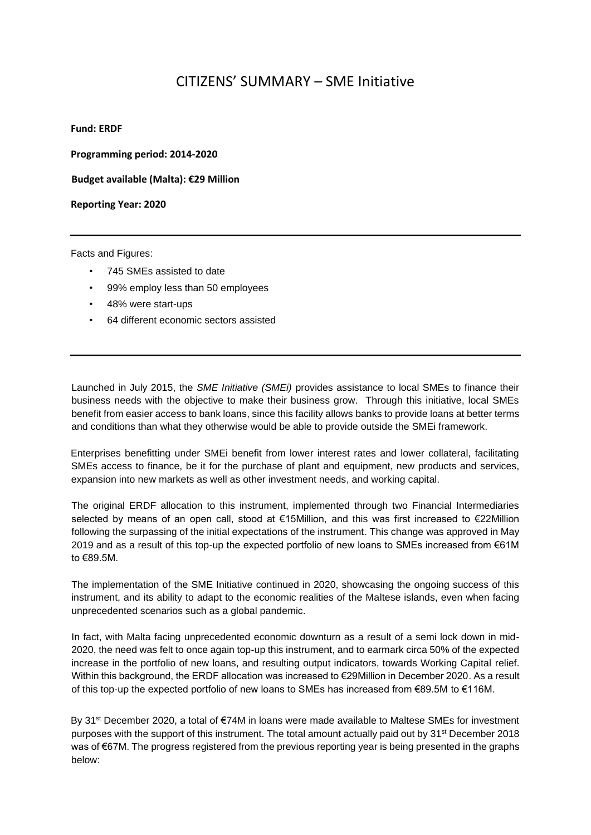## CITIZENS' SUMMARY – SME Initiative

**Fund: ERDF** 

**Programming period: 2014-2020** 

**Budget available (Malta): €29 Million** 

**Reporting Year: 2020**

Facts and Figures:

- 745 SMEs assisted to date
- 99% employ less than 50 employees
- 48% were start-ups
- 64 different economic sectors assisted

Launched in July 2015, the *SME Initiative (SMEi)* provides assistance to local SMEs to finance their business needs with the objective to make their business grow. Through this initiative, local SMEs benefit from easier access to bank loans, since this facility allows banks to provide loans at better terms and conditions than what they otherwise would be able to provide outside the SMEi framework.

Enterprises benefitting under SMEi benefit from lower interest rates and lower collateral, facilitating SMEs access to finance, be it for the purchase of plant and equipment, new products and services, expansion into new markets as well as other investment needs, and working capital.

The original ERDF allocation to this instrument, implemented through two Financial Intermediaries selected by means of an open call, stood at €15Million, and this was first increased to €22Million following the surpassing of the initial expectations of the instrument. This change was approved in May 2019 and as a result of this top-up the expected portfolio of new loans to SMEs increased from €61M to €89.5M.

The implementation of the SME Initiative continued in 2020, showcasing the ongoing success of this instrument, and its ability to adapt to the economic realities of the Maltese islands, even when facing unprecedented scenarios such as a global pandemic.

In fact, with Malta facing unprecedented economic downturn as a result of a semi lock down in mid-2020, the need was felt to once again top-up this instrument, and to earmark circa 50% of the expected increase in the portfolio of new loans, and resulting output indicators, towards Working Capital relief. Within this background, the ERDF allocation was increased to €29Million in December 2020. As a result of this top-up the expected portfolio of new loans to SMEs has increased from €89.5M to €116M.

By 31st December 2020, a total of €74M in loans were made available to Maltese SMEs for investment purposes with the support of this instrument. The total amount actually paid out by 31st December 2018 was of €67M. The progress registered from the previous reporting year is being presented in the graphs below: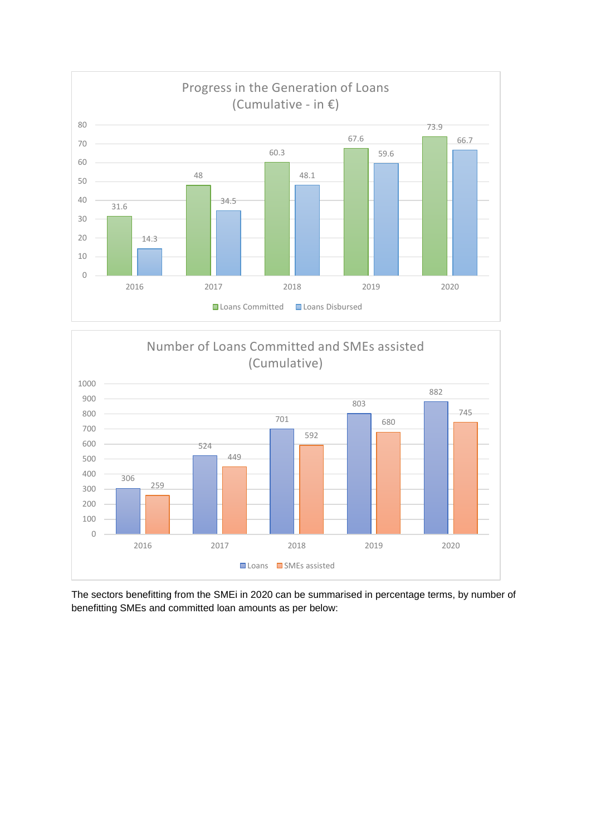



The sectors benefitting from the SMEi in 2020 can be summarised in percentage terms, by number of benefitting SMEs and committed loan amounts as per below: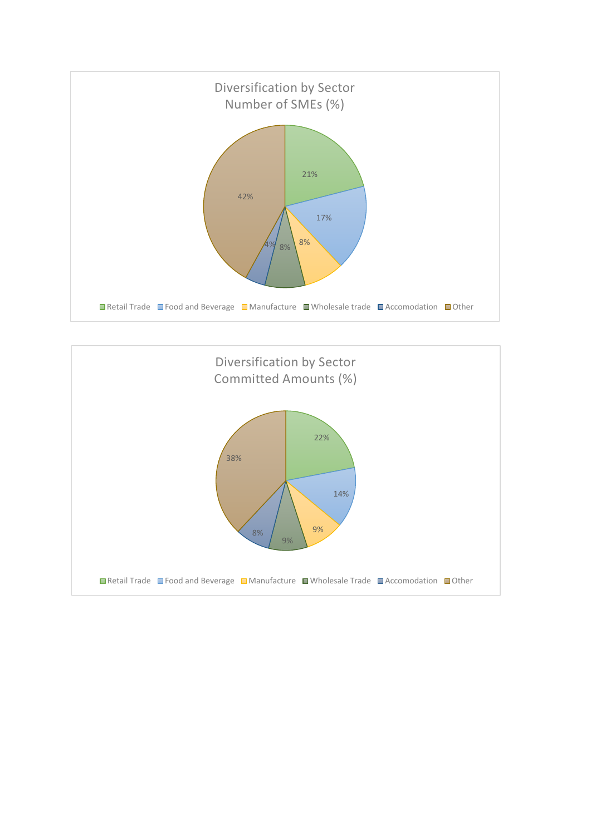

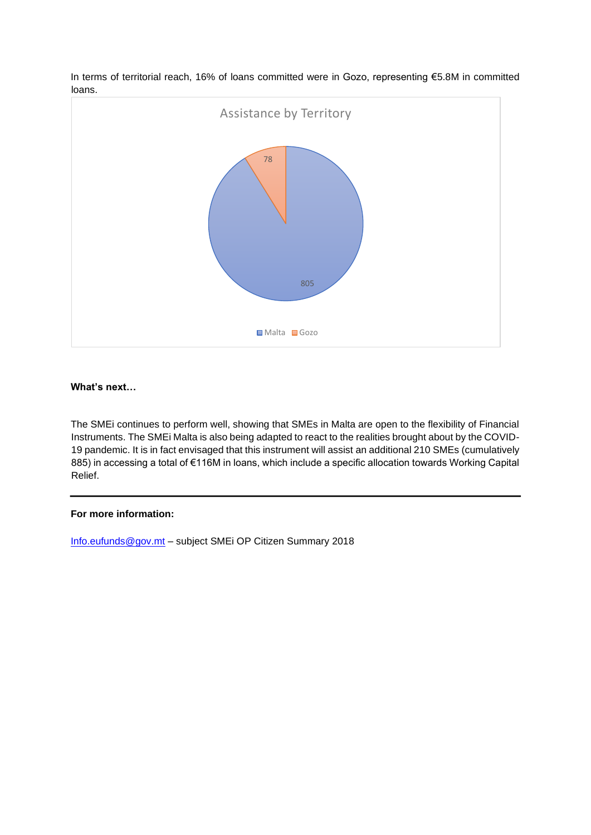

In terms of territorial reach, 16% of loans committed were in Gozo, representing €5.8M in committed loans.

## **What's next…**

The SMEi continues to perform well, showing that SMEs in Malta are open to the flexibility of Financial Instruments. The SMEi Malta is also being adapted to react to the realities brought about by the COVID-19 pandemic. It is in fact envisaged that this instrument will assist an additional 210 SMEs (cumulatively 885) in accessing a total of €116M in loans, which include a specific allocation towards Working Capital Relief.

## **For more information:**

Info.eufunds@gov.mt – subject SMEi OP Citizen Summary 2018